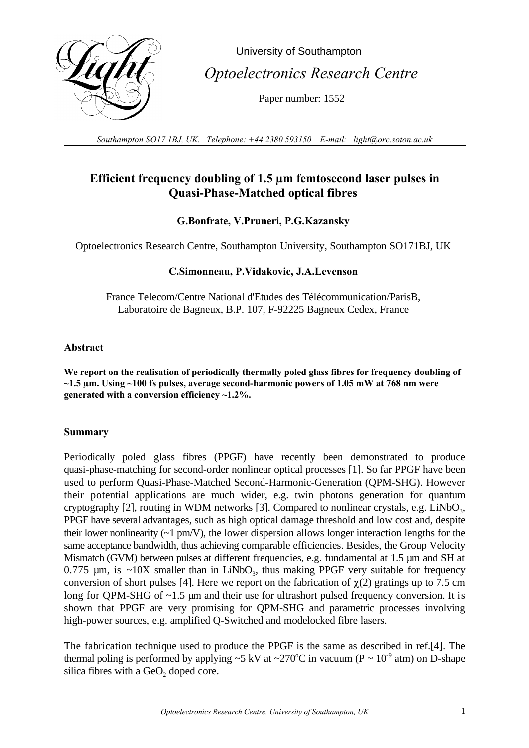

 University of Southampton  *Optoelectronics Research Centre*

Paper number: 1552

*Southampton SO17 1BJ, UK. Telephone: +44 2380 593150 E-mail: light@orc.soton.ac.uk*

# **Efficient frequency doubling of 1.5 µm femtosecond laser pulses in Quasi-Phase-Matched optical fibres**

# **G.Bonfrate, V.Pruneri, P.G.Kazansky**

Optoelectronics Research Centre, Southampton University, Southampton SO171BJ, UK

# **C.Simonneau, P.Vidakovic, J.A.Levenson**

France Telecom/Centre National d'Etudes des Télécommunication/ParisB, Laboratoire de Bagneux, B.P. 107, F-92225 Bagneux Cedex, France

## **Abstract**

**We report on the realisation of periodically thermally poled glass fibres for frequency doubling of ~1.5 µm. Using ~100 fs pulses, average second-harmonic powers of 1.05 mW at 768 nm were generated with a conversion efficiency ~1.2%.**

### **Summary**

Periodically poled glass fibres (PPGF) have recently been demonstrated to produce quasi-phase-matching for second-order nonlinear optical processes [1]. So far PPGF have been used to perform Quasi-Phase-Matched Second-Harmonic-Generation (QPM-SHG). However their potential applications are much wider, e.g. twin photons generation for quantum cryptography [2], routing in WDM networks [3]. Compared to nonlinear crystals, e.g. LiNbO<sub>3</sub>, PPGF have several advantages, such as high optical damage threshold and low cost and, despite their lower nonlinearity  $(-1 \text{ pm/V})$ , the lower dispersion allows longer interaction lengths for the same acceptance bandwidth, thus achieving comparable efficiencies. Besides, the Group Velocity Mismatch (GVM) between pulses at different frequencies, e.g. fundamental at 1.5 µm and SH at 0.775  $\mu$ m, is ~10X smaller than in LiNbO<sub>3</sub>, thus making PPGF very suitable for frequency conversion of short pulses [4]. Here we report on the fabrication of  $\gamma$ (2) gratings up to 7.5 cm long for QPM-SHG of ~1.5 µm and their use for ultrashort pulsed frequency conversion. It is shown that PPGF are very promising for QPM-SHG and parametric processes involving high-power sources, e.g. amplified Q-Switched and modelocked fibre lasers.

The fabrication technique used to produce the PPGF is the same as described in ref.[4]. The thermal poling is performed by applying ~5 kV at ~270 °C in vacuum ( $P \sim 10^{-9}$  atm) on D-shape silica fibres with a  $GeO<sub>2</sub>$  doped core.